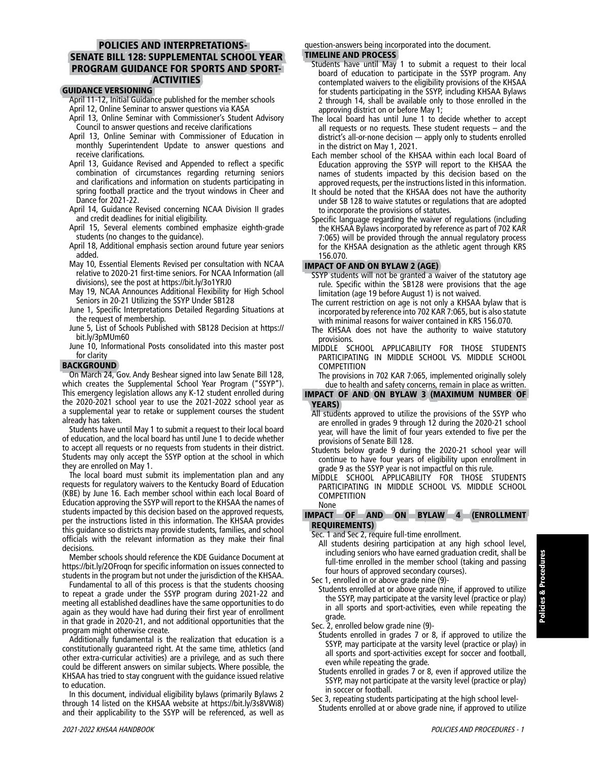# POLICIES AND INTERPRETATIONS-SENATE BILL 128: SUPPLEMENTAL SCHOOL YEAR PROGRAM GUIDANCE FOR SPORTS AND SPORT-**ACTIVITIES**

### GUIDANCE VERSIONING

- April 11-12, Initial Guidance published for the member schools April 12, Online Seminar to answer questions via KASA
- April 13, Online Seminar with Commissioner's Student Advisory Council to answer questions and receive clarifications
- April 13, Online Seminar with Commissioner of Education in monthly Superintendent Update to answer questions and receive clarifications.
- April 13, Guidance Revised and Appended to reflect a specific combination of circumstances regarding returning seniors and clarifications and information on students participating in spring football practice and the tryout windows in Cheer and Dance for 2021-22.
- April 14, Guidance Revised concerning NCAA Division II grades and credit deadlines for initial eligibility.
- April 15, Several elements combined emphasize eighth-grade students (no changes to the guidance).
- April 18, Additional emphasis section around future year seniors added.
- May 10, Essential Elements Revised per consultation with NCAA relative to 2020-21 first-time seniors. For NCAA Information (all divisions), see the post at <https://bit.ly/3o1YRJ0>
- May 19, NCAA Announces Additional Flexibility for High School Seniors in 20-21 Utilizing the SSYP Under SB128
- June 1, Specific Interpretations Detailed Regarding Situations at the request of membership.
- June 5, List of Schools Published with SB128 Decision at [https://](https://bit.ly/3pMUm60) [bit.ly/3pMUm60](https://bit.ly/3pMUm60)
- June 10, Informational Posts consolidated into this master post for clarity

#### BACKGROUND

On March 24, Gov. Andy Beshear signed into law Senate Bill 128, which creates the Supplemental School Year Program ("SSYP"). This emergency legislation allows any K-12 student enrolled during the 2020-2021 school year to use the 2021-2022 school year as a supplemental year to retake or supplement courses the student already has taken.

Students have until May 1 to submit a request to their local board of education, and the local board has until June 1 to decide whether to accept all requests or no requests from students in their district. Students may only accept the SSYP option at the school in which they are enrolled on May 1.

The local board must submit its implementation plan and any requests for regulatory waivers to the Kentucky Board of Education (KBE) by June 16. Each member school within each local Board of Education approving the SSYP will report to the KHSAA the names of students impacted by this decision based on the approved requests, per the instructions listed in this information. The KHSAA provides this guidance so districts may provide students, families, and school officials with the relevant information as they make their final decisions.

Member schools should reference the KDE Guidance Document at <https://bit.ly/2OFroqn> for specific information on issues connected to students in the program but not under the jurisdiction of the KHSAA.

Fundamental to all of this process is that the students choosing to repeat a grade under the SSYP program during 2021-22 and meeting all established deadlines have the same opportunities to do again as they would have had during their first year of enrollment in that grade in 2020-21, and not additional opportunities that the program might otherwise create.

Additionally fundamental is the realization that education is a constitutionally guaranteed right. At the same time, athletics (and other extra-curricular activities) are a privilege, and as such there could be different answers on similar subjects. Where possible, the KHSAA has tried to stay congruent with the guidance issued relative to education.

In this document, individual eligibility bylaws (primarily Bylaws 2 through 14 listed on the KHSAA website at [https://bit.ly/3s8VWi8\)](https://bit.ly/3s8VWi8) and their applicability to the SSYP will be referenced, as well as question-answers being incorporated into the document. TIMELINE AND PROCESS

- Students have until May 1 to submit a request to their local board of education to participate in the SSYP program. Any contemplated waivers to the eligibility provisions of the KHSAA for students participating in the SSYP, including KHSAA Bylaws 2 through 14, shall be available only to those enrolled in the approving district on or before May 1;
- The local board has until June 1 to decide whether to accept all requests or no requests. These student requests – and the district's all-or-none decision -– apply only to students enrolled in the district on May 1, 2021.
- Each member school of the KHSAA within each local Board of Education approving the SSYP will report to the KHSAA the names of students impacted by this decision based on the approved requests, per the instructions listed in this information.
- It should be noted that the KHSAA does not have the authority under SB 128 to waive statutes or regulations that are adopted to incorporate the provisions of statutes.
- Specific language regarding the waiver of regulations (including the KHSAA Bylaws incorporated by reference as part of 702 KAR 7:065) will be provided through the annual regulatory process for the KHSAA designation as the athletic agent through KRS 156.070.

#### IMPACT OF AND ON BYLAW 2 (AGE)

- SSYP students will not be granted a waiver of the statutory age rule. Specific within the SB128 were provisions that the age limitation (age 19 before August 1) is not waived.
- The current restriction on age is not only a KHSAA bylaw that is incorporated by reference into 702 KAR 7:065, but is also statute with minimal reasons for waiver contained in KRS 156.070.
- The KHSAA does not have the authority to waive statutory provisions.
- MIDDLE SCHOOL APPLICABILITY FOR THOSE STUDENTS PARTICIPATING IN MIDDLE SCHOOL VS. MIDDLE SCHOOL COMPETITION

The provisions in 702 KAR 7:065, implemented originally solely due to health and safety concerns, remain in place as written.

#### IMPACT OF AND ON BYLAW 3 (MAXIMUM NUMBER OF YEARS)

- All students approved to utilize the provisions of the SSYP who are enrolled in grades 9 through 12 during the 2020-21 school year, will have the limit of four years extended to five per the provisions of Senate Bill 128.
- Students below grade 9 during the 2020-21 school year will continue to have four years of eligibility upon enrollment in grade 9 as the SSYP year is not impactful on this rule.
- MIDDLE SCHOOL APPLICABILITY FOR THOSE STUDENTS PARTICIPATING IN MIDDLE SCHOOL VS. MIDDLE SCHOOL COMPETITION None

#### IMPACT OF AND ON BYLAW 4 (ENROLLMENT REQUIREMENTS)

Sec. 1 and Sec 2, require full-time enrollment.

All students desiring participation at any high school level, including seniors who have earned graduation credit, shall be full-time enrolled in the member school (taking and passing four hours of approved secondary courses).

Sec 1, enrolled in or above grade nine (9)-

- Students enrolled at or above grade nine, if approved to utilize the SSYP, may participate at the varsity level (practice or play) in all sports and sport-activities, even while repeating the grade.
- Sec. 2, enrolled below grade nine (9)-
- Students enrolled in grades 7 or 8, if approved to utilize the SSYP, may participate at the varsity level (practice or play) in all sports and sport-activities except for soccer and football, even while repeating the grade.
- Students enrolled in grades 7 or 8, even if approved utilize the SSYP, may not participate at the varsity level (practice or play) in soccer or football.
- Sec 3, repeating students participating at the high school level-Students enrolled at or above grade nine, if approved to utilize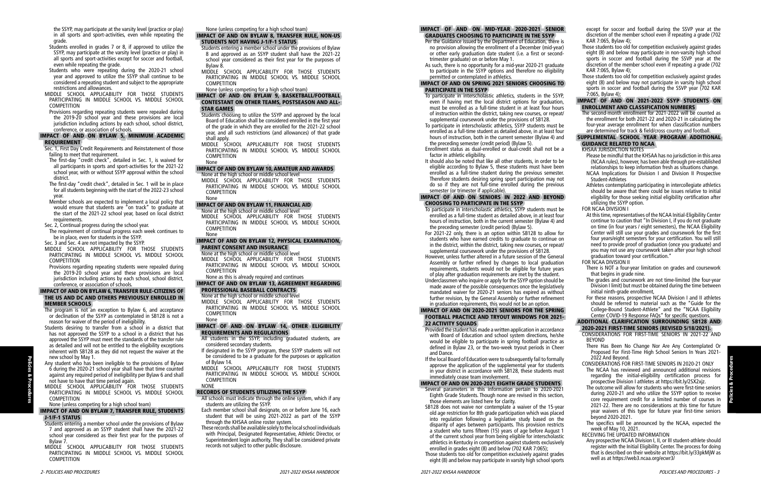the SSYP, may participate at the varsity level (practice or play) in all sports and sport-activities, even while repeating the grade.

- Students enrolled in grades 7 or 8, if approved to utilize the SSYP, may participate at the varsity level (practice or play) in all sports and sport-activities except for soccer and football, even while repeating the grade.
- Students who were repeating during the 2020-21 school year and approved to utilize the SSYP shall continue to be considered a repeating student and subject to the appropriate restrictions and allowances.
- MIDDLE SCHOOL APPLICABILITY FOR THOSE STUDENTS PARTICIPATING IN MIDDLE SCHOOL VS. MIDDLE SCHOOL COMPETITION
- Provisions regarding repeating students were repealed during the 2019-20 school year and these provisions are local jurisdiction including actions by each school, school district, conference, or association of schools.

#### IMPACT OF AND ON BYLAW 5, MINIMUM ACADEMIC REQUIREMENT

- Sec. 1, First Day Credit Requirements and Reinstatement of those failing to meet that requirement.
- The first-day "credit check", detailed in Sec. 1, is waived for all participants in sports and sport-activities for the 2021-22 school year, with or without SSYP approval within the school district.
- The first-day "credit check", detailed in Sec. 1 will be in place for all students beginning with the start of the 2022-23 school year.
- Member schools are expected to implement a local policy that would ensure that students are "on track" to graduate at the start of the 2021-22 school year, based on local district requirements.
- Sec. 2, Continual progress during the school year.
- The requirement of continual progress each week continues to be in place, even for students in the SSYP.
- Sec. 3 and Sec. 4 are not impacted by the SSYP.
- MIDDLE SCHOOL APPLICABILITY FOR THOSE STUDENTS PARTICIPATING IN MIDDLE SCHOOL VS. MIDDLE SCHOOL COMPETITION
- Provisions regarding repeating students were repealed during the 2019-20 school year and these provisions are local jurisdiction including actions by each school, school district, conference, or association of schools.

## IMPACT OF AND ON BYLAW 6, TRANSFER RULE-CITIZENS OF THE US AND DC AND OTHERS PREVIOUSLY ENROLLED IN MEMBER SCHOOLS

- The program is not an exception to Bylaw 6, and acceptance or declination of the SSYP as contemplated in SB128 is not a reason for waiver of the period of ineligibility.
- Students desiring to transfer from a school in a district that has not approved the SSYP to a school in a district that has approved the SSYP must meet the standards of the transfer rule as detailed and will not be entitled to the eligibility exceptions inherent with SB128 as they did not request the waiver at the new school by May 1.
- Any student who has been ineligible to the provisions of Bylaw 6 during the 2020-21 school year shall have that time counted against any required period of ineligibility per Bylaw 6 and shall not have to have that time period again.
- MIDDLE SCHOOL APPLICABILITY FOR THOSE STUDENTS PARTICIPATING IN MIDDLE SCHOOL VS. MIDDLE SCHOOL COMPETITION

# None (unless competing for a high school team)

# IMPACT OF AND ON BYLAW 7, TRANSFER RULE, STUDENTS J-1/F-1 STATUS

- Students entering a member school under the provisions of Bylaw 7 and approved as an SSYP student shall have the 2021-22 school year considered as their first year for the purposes of Bylaw 7.
- MIDDLE SCHOOL APPLICABILITY FOR THOSE STUDENTS PARTICIPATING IN MIDDLE SCHOOL VS. MIDDLE SCHOOL COMPETITION
- Per the Guidance issued by the Department of Education, there no provision allowing the enrollment of a December (mid-year) or other early graduation date student (i.e. a first or second trimester graduate) on or before May 1.
- As such, there is no opportunity for a mid-year 2020-21 graduat to participate in the SSYP options and therefore no eligibilit permitted or contemplated in athletics.

#### IMPACT OF AND ON SPRING 2021 SENIORS CHOOSING T PARTICIPATE IN THE SSYP

None (unless competing for a high school team)

### IMPACT OF AND ON BYLAW 8, TRANSFER RULE, NON-US STUDENTS NOT HAVING J-1/F-1 STATUS

- Students entering a member school under the provisions of Bylaw 8 and approved as an SSYP student shall have the 2021-22 school year considered as their first year for the purposes of Bylaw 8.
- MIDDLE SCHOOL APPLICABILITY FOR THOSE STUDENTS PARTICIPATING IN MIDDLE SCHOOL VS. MIDDLE SCHOOL COMPETITION
- None (unless competing for a high school team)
- To participate in interscholastic athletics, students in the SSY even if having met the local district options for graduation must be enrolled as a full-time student in at least four hour of instruction within the district, taking new courses, or repeat supplemental coursework under the provisions of SB128.
- To participate in interscholastic athletics, SSYP students must b enrolled as a full-time student as detailed above, in at least for hours of instruction, both in the current semester (Bylaw 4) and the preceding semester (credit period) (Bylaw 5).
- Enrollment status as dual-enrolled or dual-credit shall not be factor in athletic eligibility.
- It should also be noted that like all other students, in order to b eligible according to Bylaw 5, these students must have bee enrolled as a full-time student during the previous semester Therefore students desiring spring sport participation may no do so if they are not full-time enrolled during the previou semester (or trimester if applicable).

### IMPACT OF AND ON SENIORS IN 2022 AND BEYON CHOOSING TO PARTICIPATE IN THE SSYP

#### IMPACT OF AND ON BYLAW 9, BASKETBALL/FOOTBALL CONTESTANT ON OTHER TEAMS, POSTSEASON AND ALL-STAR GAMES

- Students choosing to utilize the SSYP and approved by the local Board of Education shall be considered enrolled in the first year of the grade in which they are enrolled for the 2021-22 school year, and all such restrictions (and allowances) of that grade shall apply.
- MIDDLE SCHOOL APPLICABILITY FOR THOSE STUDENTS PARTICIPATING IN MIDDLE SCHOOL VS. MIDDLE SCHOOL COMPETITION None

- To participate in interscholastic athletics, SSYP students must b enrolled as a full-time student as detailed above, in at least for hours of instruction, both in the current semester (Bylaw 4) and the preceding semester (credit period) (Bylaw 5).
- For 2021-22 only, there is an option within SB128 to allow for students who have earned credits to graduate to continue o in the district, within the district, taking new courses, or repeat/ supplemental coursework under the provisions of SB128.
- However, unless further altered in a future session of the General Assembly or further refined by changes to local graduation requirements, students would not be eligible for future year of play after graduation requirements are met by the student.
- Underclassmen who inquire or apply for the SSYP option should b made aware of the possible consequences once the legislative mandated waiver for 2020-21 seniors has expired as without further revision, by the General Assembly or further refinemer in graduation requirements, this would not be an option.

#### IMPACT OF AND ON 2020-2021 SENIORS FOR THE SPRIN FOOTBALL PRACTICE AND TRYOUT WINDOWS FOR 2021 22 ACTIVITY SOUADS

# IMPACT OF AND ON BYLAW 10, AMATEUR AND AWARDS

None at the high school or middle school level

MIDDLE SCHOOL APPLICABILITY FOR THOSE STUDENTS PARTICIPATING IN MIDDLE SCHOOL VS. MIDDLE SCHOOL COMPETITION None

#### IMPACT OF AND ON BYLAW 11, FINANCIAL AID

- Provided the student has made a written application in accordance with Board of Education and school system directions, he/sh would be eligible to participate in spring football practice a defined in Bylaw 23, or the two-week tryout periods in Chee and Dance.
- If the local Board of Education were to subsequently fail to formal approve the application of the supplemental year for students in your district in accordance with SB128, these students must immediately cease team involvement.
- None at the high school or middle school level MIDDLE SCHOOL APPLICABILITY FOR THOSE STUDENTS PARTICIPATING IN MIDDLE SCHOOL VS. MIDDLE SCHOOL COMPETITION
- None

#### IMPACT OF AND ON BYLAW 12, PHYSICAL EXAMINATION, PARENT CONSENT AND INSURANCE

- None at the high school or middle school level
- MIDDLE SCHOOL APPLICABILITY FOR THOSE STUDENTS PARTICIPATING IN MIDDLE SCHOOL VS. MIDDLE SCHOOL COMPETITION None as this is already required and continues

# IMPACT OF AND ON BYLAW 13, AGREEMENT REGARDING PROFESSIONAL BASEBALL CONTRACTS

None at the high school or middle school level

MIDDLE SCHOOL APPLICABILITY FOR THOSE STUDENTS PARTICIPATING IN MIDDLE SCHOOL VS. MIDDLE SCHOOL COMPETITION None

#### IMPACT OF AND ON BYLAW 14, OTHER ELIGIBILITY REQUIREMENTS AND REGULATIONS

- All students in the SSYP, including graduated students, are considered secondary students.
- If designated in the SSYP program, these SSYP students will not be considered to be a graduate for the purposes or application of Bylaw 14.
- MIDDLE SCHOOL APPLICABILITY FOR THOSE STUDENTS PARTICIPATING IN MIDDLE SCHOOL VS. MIDDLE SCHOOL COMPETITION NONE

#### RECORDS OF STUDENTS UTILIZING THE SSYP

- All schools must indicate through the online system, which if any students are utilizing the SSYP.
- Each member school shall designate, on or before June 16, each student that will be using 2021-2022 as part of the SSYP through the KHSAA online roster system.
- These records shall be available solely to the local school individuals with Principal, Designated Representative, Athletic Director, or Superintendent login authority. They shall be considered private records not subject to other public disclosure.

#### IMPACT OF AND ON MID-YEAR 2020-2021 SENIOR GRADUATES CHOOSING TO PARTICIPATE IN THE SSYP

# IMPACT OF AND ON 2020-2021 EIGHTH GRADE STUDENTS

- Several parameters in this information pertain to 2020-202 Eighth Grade Students. Though none are revised in this section, those elements are listed here for clarity.
- SB128 does not waive nor contemplate a waiver of the 15-year old age restriction for 8th grade participation which was place into regulation following a legislative study based on the disparity of ages between participants. This provision restrict a student who turns fifteen (15) years of age before August 1 of the current school year from being eligible for interscholast athletics in Kentucky in competition against students exclusivel enrolled in grades eight (8) and below (702 KAR 7:065);
- Those students too old for competition exclusively against grade eight (8) and below may participate in varsity high school sport

except for soccer and football during the SSVP year at the

| ĸ                       | except for soccer and football during the SSVP year at the                                                                              |
|-------------------------|-----------------------------------------------------------------------------------------------------------------------------------------|
|                         | discretion of the member school even if repeating a grade (702                                                                          |
| is                      | KAR 7:065, Bylaw 4);                                                                                                                    |
| ır)<br>d-               | Those students too old for competition exclusively against grades<br>eight (8) and below may participate in non-varsity high school     |
|                         | sports in soccer and football during the SSVP year at the                                                                               |
| te                      | discretion of the member school even if repeating a grade (702)                                                                         |
| ty                      | KAR 7:065, Bylaw 4);                                                                                                                    |
|                         | Those students too old for competition exclusively against grades                                                                       |
| 0                       | eight (8) and below may not participate in varsity high school                                                                          |
|                         | sports in soccer and football during the SSVP year (702 KAR                                                                             |
| P,                      | 7:065, Bylaw 4);                                                                                                                        |
| n,                      | IMPACT OF AND ON 2021-2022 SSYP STUDENTS<br><b>ON</b>                                                                                   |
| rs                      | <b>ENROLLMENT AND CLASSIFICATION NUMBERS</b>                                                                                            |
| ıt/                     | The second-month enrollment for 2021-2022 will be counted as                                                                            |
|                         | the enrollment for both 2021-22 and 2020-21 in calculating the                                                                          |
| эe                      | four-year average enrollment for when classification numbers                                                                            |
| ur                      | are determined for track & field/cross country and football.                                                                            |
| ıd                      | SUPPLEMENTAL SCHOOL YEAR PROGRAM ADDITIONAL                                                                                             |
|                         | <b>GUIDANCE RELATED TO NCAA</b><br>KHSAA JURISDICTION NOTES                                                                             |
| a                       | Please be mindful that the KHSAA has no jurisdiction in this area                                                                       |
| œ                       | (NCAA rules), however, has been able through pre-established                                                                            |
| .n                      | relationships to keep information fresh as situations change.                                                                           |
| эr.                     | NCAA Implications for Division I and Division II Prospective                                                                            |
| оt                      | Student-Athletes                                                                                                                        |
| JS                      | Athletes contemplating participating in intercollegiate athletics                                                                       |
|                         | should be aware that there could be issues relative to initial                                                                          |
| D                       | eligibility for those seeking initial eligibility certification after                                                                   |
|                         | utilizing the SSYP option.                                                                                                              |
| æ                       | FOR NCAA DIVISION I                                                                                                                     |
| ur                      | At this time, representatives of the NCAA Initial-Eligibility Center<br>continue to caution that "In Division I, if you do not graduate |
| ۱d                      | on time (in four years / eight semesters), the NCAA Eligibility                                                                         |
|                         | Center will still use your grades and coursework for the first                                                                          |
| or<br>'n                | four years/eight semesters for your certification. You will still                                                                       |
| ıt/                     | need to provide proof of graduation (once you graduate) and                                                                             |
|                         | you may not use any coursework taken after your high school                                                                             |
| al                      | graduation toward your certification."                                                                                                  |
| л                       | FOR NCAA DIVISION II                                                                                                                    |
| rs                      | There is NOT a four-year limitation on grades and coursework                                                                            |
|                         | that begins in grade nine.                                                                                                              |
| эe                      | The grades and coursework are not time-limited (the four-year                                                                           |
| lγ                      | Division I limit) but must be obtained during the time between<br>initial ninth-grade enrollment,                                       |
| ut<br>nt                | For these reasons, prospective NCAA Division I and II athletes                                                                          |
|                         | should be referred to material such as the "Guide for the                                                                               |
| G.                      | College-Bound Student-Athlete" and the "NCAA Eligibility                                                                                |
| $\blacksquare$          | Center COVID-19 Response FAQs" for specific questions.                                                                                  |
|                         | ADDITIONAl CLARIFICATION SURROUNDING SB128 AND                                                                                          |
| cе                      | 2020-2021 FIRST-TIME SENIORS (REVISED 5/18/2021).                                                                                       |
| ۱e                      | CONSIDERATIONS FOR FIRST-TIME SENIORS IN 2021-22 AND                                                                                    |
| ЭS                      | <b>BEYOND</b>                                                                                                                           |
| er                      | There Has Been No Change Nor Are Any Contemplated Or<br>Proposed For First-Time High School Seniors In Years 2021-                      |
|                         | 2022 And Beyond.                                                                                                                        |
| Iу                      | CONSIDERATIONS FOR FIRST-TIME SENIORS IN 2020-21 ONLY                                                                                   |
| ts                      | The NCAA has reviewed and announced additional revisions                                                                                |
| st                      | regarding the initial-eligibility certification<br>for<br>process                                                                       |
|                         | prospective Division I athletes at https://bit.ly/2SX2xjz.                                                                              |
| $\overline{\mathbf{1}}$ | The outcome will allow for students who were first-time seniors                                                                         |
| n,                      | during 2020-21 and who utilize the SSYP option to receive                                                                               |
|                         | core requirement credit for a limited number of courses in                                                                              |
| ar                      | 2021-22. There are no considerations at this time for future                                                                            |
| эď                      | year waivers of this type for future year first-time seniors                                                                            |
| ۱e                      | beyond 2020-2021.                                                                                                                       |
| ts                      | The specifics will be announced by the NCAA, expected the<br>week of May 10, 2021.                                                      |
| 1                       | RECEIVING THE UPDATED INFORMATION                                                                                                       |
| iс                      | Any prospective NCAA Division I, II, or III student-athlete should                                                                      |
| łу                      | register with the Initial Eligibility Center. The process for doing                                                                     |
| эs                      | that is described on their website at https://bit.ly/33pkMjW as                                                                         |
| ts                      | well as at https://web3.ncaa.org/ecwr3/                                                                                                 |